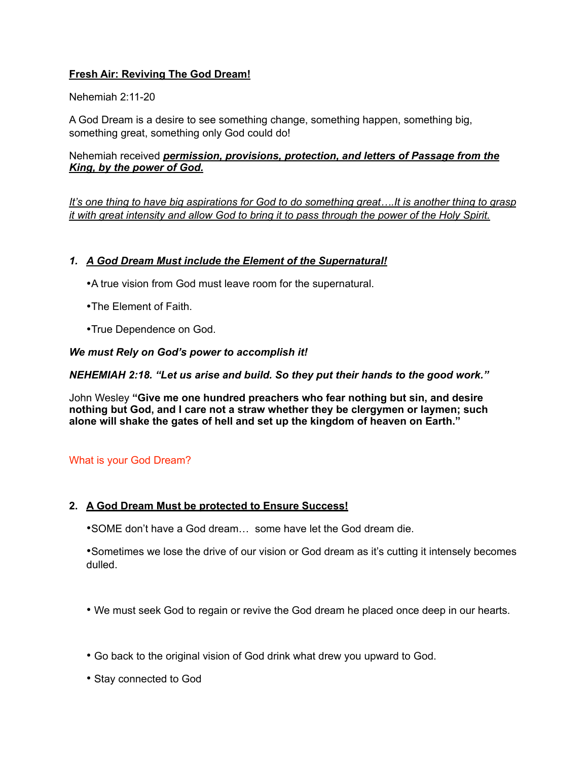# **Fresh Air: Reviving The God Dream!**

Nehemiah 2:11-20

A God Dream is a desire to see something change, something happen, something big, something great, something only God could do!

Nehemiah received *permission, provisions, protection, and letters of Passage from the King, by the power of God.*

*It's one thing to have big aspirations for God to do something great….It is another thing to grasp it with great intensity and allow God to bring it to pass through the power of the Holy Spirit.*

## *1. A God Dream Must include the Element of the Supernatural!*

- •A true vision from God must leave room for the supernatural.
- •The Element of Faith.
- •True Dependence on God.

*We must Rely on God's power to accomplish it!*

*NEHEMIAH 2:18. "Let us arise and build. So they put their hands to the good work."*

John Wesley **"Give me one hundred preachers who fear nothing but sin, and desire nothing but God, and I care not a straw whether they be clergymen or laymen; such alone will shake the gates of hell and set up the kingdom of heaven on Earth."** 

### What is your God Dream?

### **2. A God Dream Must be protected to Ensure Success!**

•SOME don't have a God dream… some have let the God dream die.

•Sometimes we lose the drive of our vision or God dream as it's cutting it intensely becomes dulled.

- We must seek God to regain or revive the God dream he placed once deep in our hearts.
- Go back to the original vision of God drink what drew you upward to God.
- Stay connected to God